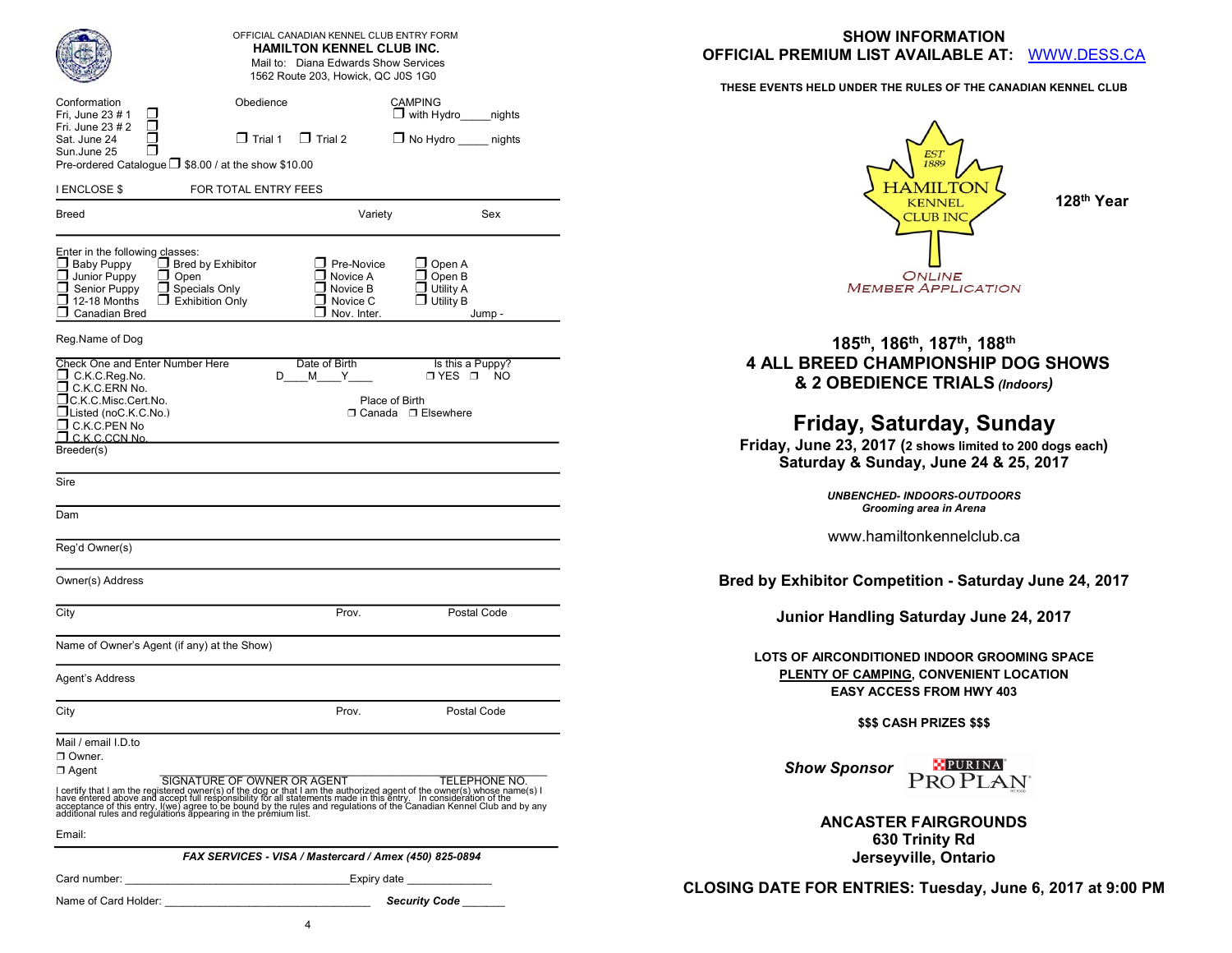|                                                                                                                                                                 | OFFICIAL CANADIAN KENNEL CLUB ENTRY FORM<br><b>HAMILTON KENNEL CLUB INC.</b><br>Mail to: Diana Edwards Show Services                                                                                                              |                                                                                  | <b>SHOW INFORMATION</b><br><b>OFFICIAL PREMIUM LIST AVAILABLE AT:</b><br>WWW.DESS.CA                                          |
|-----------------------------------------------------------------------------------------------------------------------------------------------------------------|-----------------------------------------------------------------------------------------------------------------------------------------------------------------------------------------------------------------------------------|----------------------------------------------------------------------------------|-------------------------------------------------------------------------------------------------------------------------------|
|                                                                                                                                                                 | 1562 Route 203, Howick, QC J0S 1G0                                                                                                                                                                                                |                                                                                  | THESE EVENTS HELD UNDER THE RULES OF THE CANADIAN KENNEL CLUB                                                                 |
| Conformation<br>Fri, June 23 # 1<br>⊔<br>□<br>Fri. June 23 # 2<br>□<br>Sat. June 24<br>□<br>Sun.June 25<br>Pre-ordered Catalogue ■ \$8.00 / at the show \$10.00 | Obedience<br>$\Box$ Trial 1 $\Box$ Trial 2<br>FOR TOTAL ENTRY FEES                                                                                                                                                                | <b>CAMPING</b><br>$\Box$ with Hydro<br>nights<br>$\Box$ No Hydro nights          | <b>EST</b><br>HAMILTOI                                                                                                        |
| <b>I ENCLOSE \$</b><br><b>Breed</b>                                                                                                                             | Variety                                                                                                                                                                                                                           | Sex                                                                              | 128 <sup>th</sup> Year<br><b>KENNEL</b>                                                                                       |
| Enter in the following classes:<br>$\Box$ Baby Puppy<br>Junior Puppy<br>$\Box$ Open<br>Senior Puppy<br>$\Box$ 12-18 Months<br>$\Box$ Canadian Bred              | $\Box$ Pre-Novice<br>$\Box$ Bred by Exhibitor<br>$\Box$ Novice A<br>$\Box$ Specials Only<br>$\Box$ Novice B<br>$\square$ Exhibition Only<br>$\Box$ Novice C<br>$\Box$ Nov. Inter.                                                 | $\Box$ Open A<br>$\Box$ Open B<br>$\Box$ Utility A<br>$\Box$ Utility B<br>Jump - | <b>CLUB INC</b><br><b>ONLINE</b><br><b>MEMBER APPLICATION</b>                                                                 |
| Reg.Name of Dog                                                                                                                                                 |                                                                                                                                                                                                                                   |                                                                                  | 185th, 186th, 187th, 188th                                                                                                    |
| <b>Check One and Enter Number Here</b><br>$\Box$ C.K.C.Reg.No.<br>C.K.C.ERN No.<br>□C.K.C.Misc.Cert.No.                                                         | Date of Birth<br>M<br>Y<br>D<br>Place of Birth                                                                                                                                                                                    | Is this a Puppy?<br>O YES O NO                                                   | <b>4 ALL BREED CHAMPIONSHIP DOG SHOWS</b><br>& 2 OBEDIENCE TRIALS (Indoors)                                                   |
| $\Box$ Listed (noC.K.C.No.)<br>$\Box$ C.K.C.PEN No<br>$\Box$ C.K.C.CCN No.<br>Breeder(s)                                                                        |                                                                                                                                                                                                                                   | □ Canada □ Elsewhere                                                             | Friday, Saturday, Sunday<br>Friday, June 23, 2017 (2 shows limited to 200 dogs each)<br>Saturday & Sunday, June 24 & 25, 2017 |
| Sire<br>Dam                                                                                                                                                     |                                                                                                                                                                                                                                   |                                                                                  | <b>UNBENCHED- INDOORS-OUTDOORS</b><br>Grooming area in Arena                                                                  |
| Reg'd Owner(s)                                                                                                                                                  |                                                                                                                                                                                                                                   |                                                                                  | www.hamiltonkennelclub.ca                                                                                                     |
| Owner(s) Address                                                                                                                                                |                                                                                                                                                                                                                                   |                                                                                  | Bred by Exhibitor Competition - Saturday June 24, 2017                                                                        |
| City                                                                                                                                                            | Prov.                                                                                                                                                                                                                             | Postal Code                                                                      | Junior Handling Saturday June 24, 2017                                                                                        |
| Name of Owner's Agent (if any) at the Show)<br>Agent's Address                                                                                                  |                                                                                                                                                                                                                                   |                                                                                  | LOTS OF AIRCONDITIONED INDOOR GROOMING SPACE<br>PLENTY OF CAMPING, CONVENIENT LOCATION<br><b>EASY ACCESS FROM HWY 403</b>     |
| City                                                                                                                                                            | Prov.                                                                                                                                                                                                                             | Postal Code                                                                      | <b>\$\$\$ CASH PRIZES \$\$\$</b>                                                                                              |
| Mail / email I.D.to<br>Owner.<br>$\Box$ Agent                                                                                                                   | Conservative the discovering SIGNATURE OF OWNER OR AGENT<br>I certify that I am the registered owner(s) of the dog or that I am the authorized agent of the owner(s) whose name(s) I<br>have entered above and acceptance of this |                                                                                  | <b>EPURINA</b><br>PROPLAN®<br><b>Show Sponsor</b>                                                                             |
| Email:                                                                                                                                                          |                                                                                                                                                                                                                                   |                                                                                  | <b>ANCASTER FAIRGROUNDS</b><br>630 Trinity Rd                                                                                 |
|                                                                                                                                                                 | FAX SERVICES - VISA / Mastercard / Amex (450) 825-0894                                                                                                                                                                            |                                                                                  | Jerseyville, Ontario                                                                                                          |
| Card number:                                                                                                                                                    | <u> 1989 - Johann Barn, margaret eta idazlea (h. 1989).</u>                                                                                                                                                                       | Expiry date _______________                                                      |                                                                                                                               |